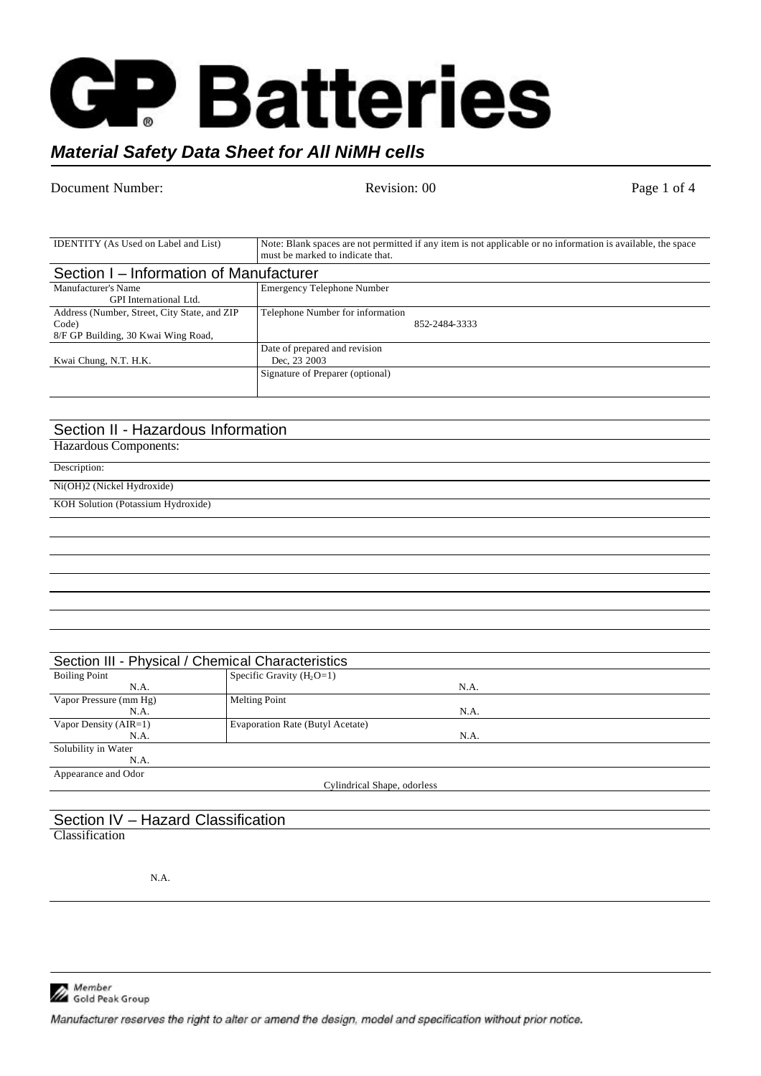

# *Material Safety Data Sheet for All NiMH cells*

Document Number: Revision: 00 Revision: 00 Page 1 of 4

| <b>IDENTITY</b> (As Used on Label and List)                                                  | Note: Blank spaces are not permitted if any item is not applicable or no information is available, the space<br>must be marked to indicate that. |  |
|----------------------------------------------------------------------------------------------|--------------------------------------------------------------------------------------------------------------------------------------------------|--|
| Section I – Information of Manufacturer                                                      |                                                                                                                                                  |  |
| Manufacturer's Name<br>GPI International Ltd.                                                | <b>Emergency Telephone Number</b>                                                                                                                |  |
| Address (Number, Street, City State, and ZIP<br>Code)<br>8/F GP Building, 30 Kwai Wing Road, | Telephone Number for information<br>852-2484-3333                                                                                                |  |
| Kwai Chung, N.T. H.K.                                                                        | Date of prepared and revision<br>Dec. 23 2003                                                                                                    |  |
|                                                                                              | Signature of Preparer (optional)                                                                                                                 |  |

# Section II - Hazardous Information

Hazardous Components:

Description:

Ni(OH)2 (Nickel Hydroxide)

KOH Solution (Potassium Hydroxide)

| Section III - Physical / Chemical Characteristics |                                  |  |
|---------------------------------------------------|----------------------------------|--|
| <b>Boiling Point</b>                              | Specific Gravity $(H_2O=1)$      |  |
| N.A.                                              | N.A.                             |  |
| Vapor Pressure (mm Hg)                            | <b>Melting Point</b>             |  |
| N.A.                                              | N.A.                             |  |
| Vapor Density $(AIR=1)$                           | Evaporation Rate (Butyl Acetate) |  |
| N.A.                                              | N.A.                             |  |
| Solubility in Water                               |                                  |  |
| N.A.                                              |                                  |  |
| Appearance and Odor                               |                                  |  |
| Cylindrical Shape, odorless                       |                                  |  |
|                                                   |                                  |  |

#### Section IV – Hazard Classification **Classification**

N.A.

Member<br>Gold Peak Group

Manufacturer reserves the right to alter or amend the design, model and specification without prior notice.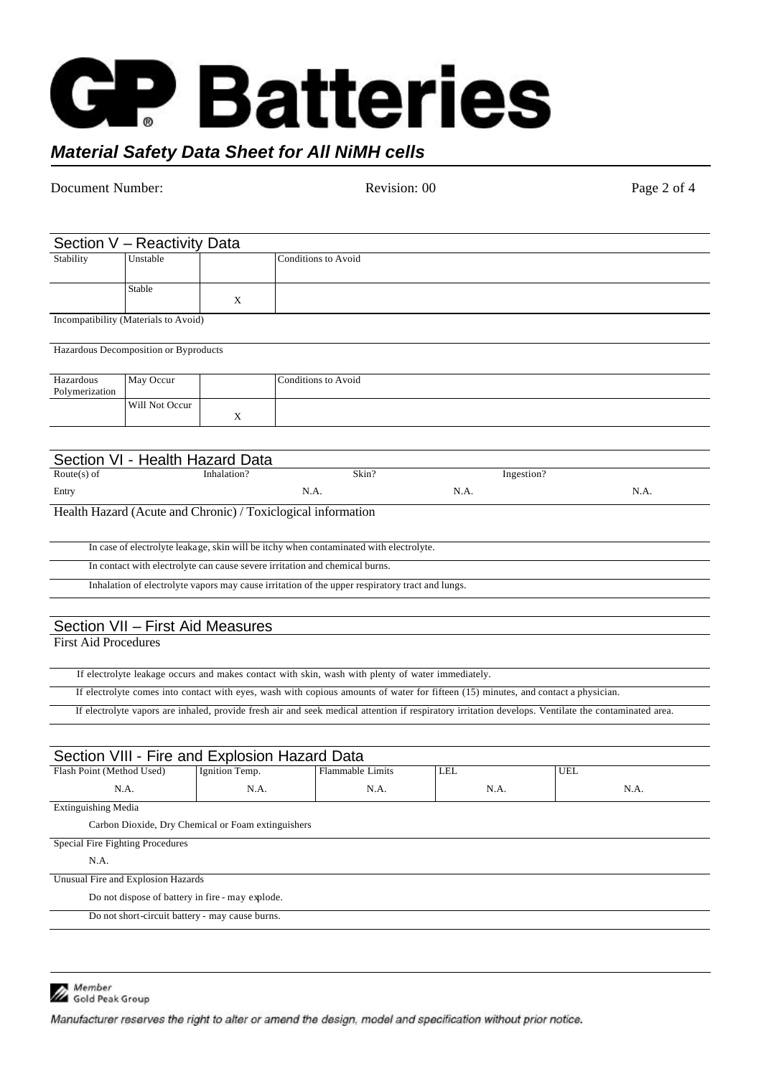# **GP Batteries**

## *Material Safety Data Sheet for All NiMH cells*

Document Number: Revision: 00 Revision: 00 Page 2 of 4 Section V – Reactivity Data Stability Unstable Conditions to Avoid Stable X Incompatibility (Materials to Avoid) Hazardous Decomposition or Byproducts Hazardous Polymerization May Occur Conditions to Avoid Will Not Occur X Section VI - Health Hazard Data Route(s) of Entry Inhalation? N.A. Skin? N.A. Ingestion? N.A. Health Hazard (Acute and Chronic) / Toxiclogical information In case of electrolyte leakage, skin will be itchy when contaminated with electrolyte. In contact with electrolyte can cause severe irritation and chemical burns. Inhalation of electrolyte vapors may cause irritation of the upper respiratory tract and lungs. Section VII – First Aid Measures First Aid Procedures If electrolyte leakage occurs and makes contact with skin, wash with plenty of water immediately. If electrolyte comes into contact with eyes, wash with copious amounts of water for fifteen (15) minutes, and contact a physician. If electrolyte vapors are inhaled, provide fresh air and seek medical attention if respiratory irritation develops. Ventilate the contaminated area. Section VIII - Fire and Explosion Hazard Data Flash Point (Method Used) N.A. Ignition Temp. N.A. Flammable Limits N.A. LEL N.A. UEL N.A. Extinguishing Media Carbon Dioxide, Dry Chemical or Foam extinguishers Special Fire Fighting Procedures N.A. Unusual Fire and Explosion Hazards Do not dispose of battery in fire - may explode. Do not short-circuit battery - may cause burns.

Member Gold Peak Group

Manufacturer reserves the right to alter or amend the design, model and specification without prior notice.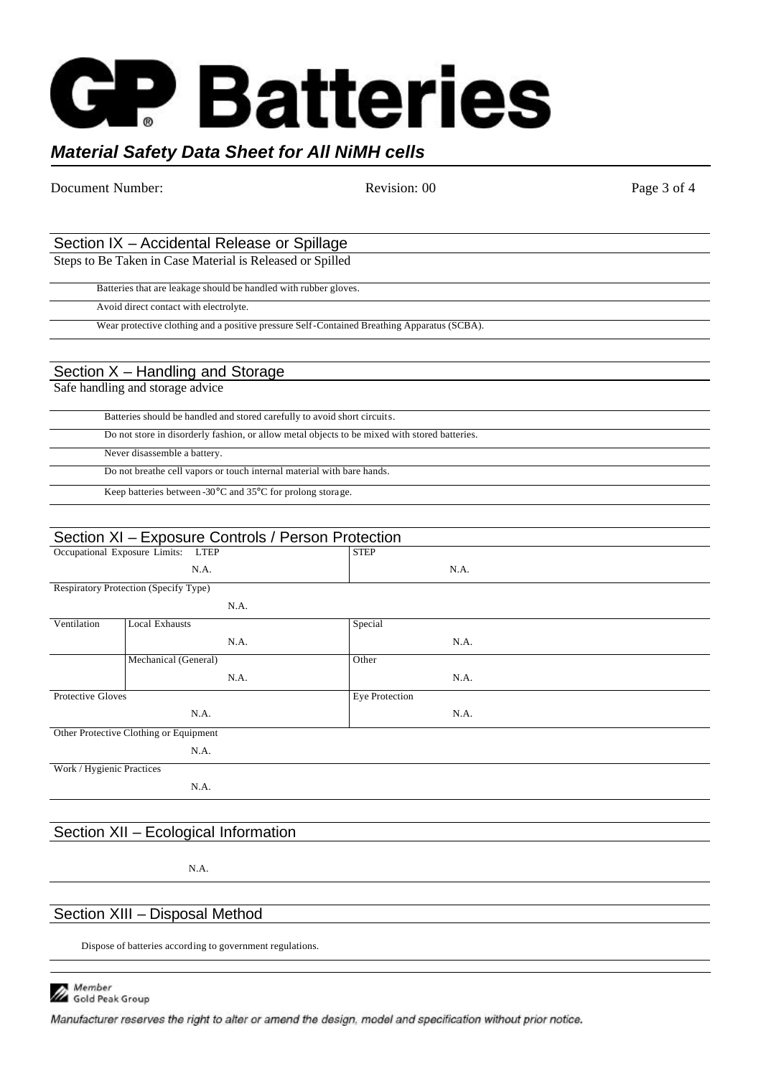# ' Batteries

# *Material Safety Data Sheet for All NiMH cells*

Document Number: Revision: 00 Revision: 00 Page 3 of 4 Section IX – Accidental Release or Spillage Steps to Be Taken in Case Material is Released or Spilled Batteries that are leakage should be handled with rubber gloves. Avoid direct contact with electrolyte. Wear protective clothing and a positive pressure Self-Contained Breathing Apparatus (SCBA). Section X – Handling and Storage Safe handling and storage advice Batteries should be handled and stored carefully to avoid short circuits. Do not store in disorderly fashion, or allow metal objects to be mixed with stored batteries. Never disassemble a battery. Do not breathe cell vapors or touch internal material with bare hands. Keep batteries between -30°C and 35°C for prolong storage. Section XI – Exposure Controls / Person Protection Occupational Exposure Limits: LTEP N.A. STEP N.A. Respiratory Protection (Specify Type) N.A. Ventilation Local Exhausts N.A. Special N.A. Mechanical (General) N.A. Other N.A. Protective Gloves N.A. Eye Protection N.A. Other Protective Clothing or Equipment N.A. Work / Hygienic Practices N.A.

## Section XII – Ecological Information

N.A.

## Section XIII – Disposal Method

Dispose of batteries according to government regulations.



Manufacturer reserves the right to alter or amend the design, model and specification without prior notice.

| Batteries should be handled and stored carefully to avoid short circuits.                     |
|-----------------------------------------------------------------------------------------------|
| Do not store in disorderly fashion, or allow metal objects to be mixed with stored batteries. |
| Never disassemble a battery.                                                                  |
| Do not breathe cell vapors or touch internal material with bare hands.                        |
| Keep batteries between -30 $\degree$ C and 35 $\degree$ C for prolong storage.                |